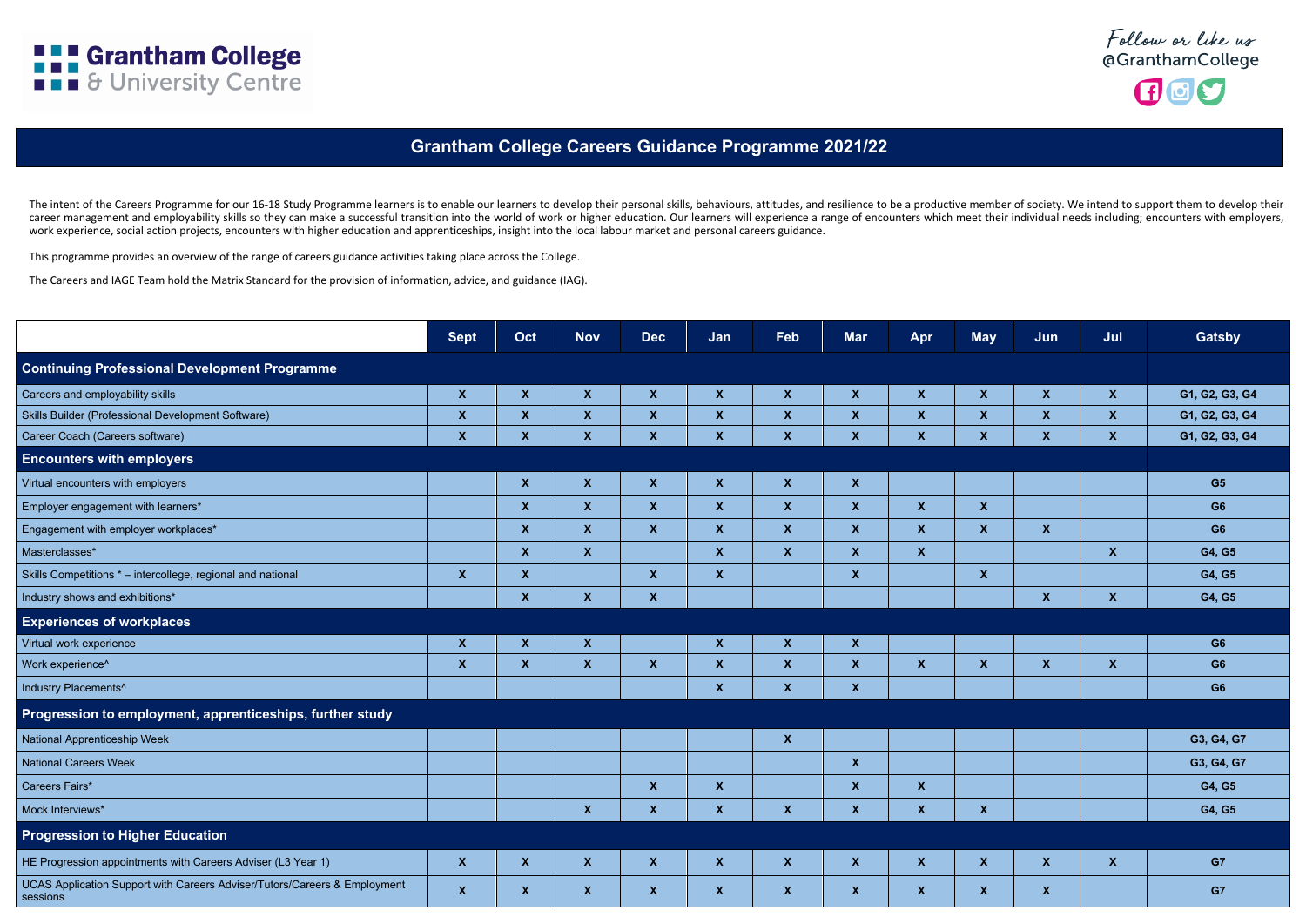The intent of the Careers Programme for our 16-18 Study Programme learners is to enable our learners to develop their personal skills, behaviours, attitudes, and resilience to be a productive member of society. We intend t career management and employability skills so they can make a successful transition into the world of work or higher education. Our learners will experience a range of encounters which meet their individual needs including work experience, social action projects, encounters with higher education and apprenticeships, insight into the local labour market and personal careers guidance.

This programme provides an overview of the range of careers guidance activities taking place across the College.

The Careers and IAGE Team hold the Matrix Standard for the provision of information, advice, and guidance (IAG).

|                                                                                       | <b>Sept</b>               | Oct                       | <b>Nov</b>                | <b>Dec</b>                | Jan                       | Feb              | <b>Mar</b>       | Apr                       | <b>May</b>                | Jun                       | Jul                       | <b>Gatsby</b>  |
|---------------------------------------------------------------------------------------|---------------------------|---------------------------|---------------------------|---------------------------|---------------------------|------------------|------------------|---------------------------|---------------------------|---------------------------|---------------------------|----------------|
| <b>Continuing Professional Development Programme</b>                                  |                           |                           |                           |                           |                           |                  |                  |                           |                           |                           |                           |                |
| Careers and employability skills                                                      | $\boldsymbol{\mathsf{X}}$ | $\boldsymbol{X}$          | $\boldsymbol{X}$          | $\boldsymbol{\mathsf{X}}$ | $\boldsymbol{X}$          | $\boldsymbol{X}$ | $\boldsymbol{X}$ | $\boldsymbol{\mathsf{X}}$ | $\boldsymbol{X}$          | $\boldsymbol{\mathsf{X}}$ | $\mathbf x$               | G1, G2, G3, G4 |
| Skills Builder (Professional Development Software)                                    | $\boldsymbol{\mathsf{X}}$ | $\boldsymbol{\mathsf{X}}$ | $\boldsymbol{\mathsf{X}}$ | $\boldsymbol{X}$          | $\boldsymbol{X}$          | $\boldsymbol{X}$ | $\boldsymbol{X}$ | $\boldsymbol{\mathsf{X}}$ | $\boldsymbol{\mathsf{X}}$ | $\boldsymbol{\mathsf{X}}$ | $\boldsymbol{\mathsf{X}}$ | G1, G2, G3, G4 |
| Career Coach (Careers software)                                                       | $\boldsymbol{\mathsf{X}}$ | $\boldsymbol{\mathsf{X}}$ | $\boldsymbol{X}$          | $\boldsymbol{\mathsf{X}}$ | $\boldsymbol{\mathsf{X}}$ | $\boldsymbol{X}$ | $\mathbf x$      | $\mathbf{x}$              | $\boldsymbol{X}$          | $\pmb{\chi}$              | $\mathbf x$               | G1, G2, G3, G4 |
| <b>Encounters with employers</b>                                                      |                           |                           |                           |                           |                           |                  |                  |                           |                           |                           |                           |                |
| Virtual encounters with employers                                                     |                           | $\boldsymbol{X}$          | $\boldsymbol{X}$          | $\boldsymbol{\mathsf{X}}$ | $\boldsymbol{X}$          | $\boldsymbol{X}$ | $\boldsymbol{X}$ |                           |                           |                           |                           | G5             |
| Employer engagement with learners*                                                    |                           | $\boldsymbol{X}$          | $\mathbf{X}$              | $\boldsymbol{\mathsf{X}}$ | $\boldsymbol{X}$          | $\boldsymbol{X}$ | $\boldsymbol{X}$ | $\boldsymbol{X}$          | $\mathbf{x}$              |                           |                           | G <sub>6</sub> |
| Engagement with employer workplaces*                                                  |                           | $\boldsymbol{\mathsf{X}}$ | $\boldsymbol{X}$          | $\boldsymbol{\mathsf{X}}$ | $\boldsymbol{X}$          | $\boldsymbol{X}$ | $\boldsymbol{X}$ | $\boldsymbol{X}$          | $\boldsymbol{X}$          | $\boldsymbol{\mathsf{X}}$ |                           | G <sub>6</sub> |
| Masterclasses*                                                                        |                           | $\boldsymbol{\mathsf{X}}$ | $\mathbf{X}$              |                           | $\boldsymbol{X}$          | $\boldsymbol{X}$ | $\mathbf{X}$     | $\boldsymbol{X}$          |                           |                           | $\boldsymbol{X}$          | G4, G5         |
| Skills Competitions * - intercollege, regional and national                           | $\boldsymbol{X}$          | $\boldsymbol{\mathsf{X}}$ |                           | $\boldsymbol{\mathsf{X}}$ | $\boldsymbol{X}$          |                  | $\boldsymbol{X}$ |                           | $\mathbf{x}$              |                           |                           | G4, G5         |
| Industry shows and exhibitions*                                                       |                           | $\boldsymbol{\mathsf{X}}$ | $\mathbf{X}$              | $\boldsymbol{\mathsf{X}}$ |                           |                  |                  |                           |                           | $\boldsymbol{X}$          | $\boldsymbol{X}$          | G4, G5         |
| <b>Experiences of workplaces</b>                                                      |                           |                           |                           |                           |                           |                  |                  |                           |                           |                           |                           |                |
| Virtual work experience                                                               | $\boldsymbol{X}$          | $\boldsymbol{\mathsf{X}}$ | $\boldsymbol{X}$          |                           | $\boldsymbol{X}$          | $\boldsymbol{X}$ | $\boldsymbol{X}$ |                           |                           |                           |                           | G <sub>6</sub> |
| Work experience^                                                                      | $\boldsymbol{X}$          | $\boldsymbol{\mathsf{X}}$ | $\mathbf{X}$              | $\boldsymbol{\mathsf{X}}$ | $\boldsymbol{X}$          | $\boldsymbol{X}$ | $\boldsymbol{X}$ | $\boldsymbol{X}$          | $\mathbf{x}$              | $\boldsymbol{X}$          | $\mathbf{X}$              | G <sub>6</sub> |
| Industry Placements^                                                                  |                           |                           |                           |                           | $\boldsymbol{X}$          | $\boldsymbol{X}$ | $\mathbf{X}$     |                           |                           |                           |                           | G <sub>6</sub> |
| Progression to employment, apprenticeships, further study                             |                           |                           |                           |                           |                           |                  |                  |                           |                           |                           |                           |                |
| National Apprenticeship Week                                                          |                           |                           |                           |                           |                           | $\mathbf{X}$     |                  |                           |                           |                           |                           | G3, G4, G7     |
| <b>National Careers Week</b>                                                          |                           |                           |                           |                           |                           |                  | $\boldsymbol{X}$ |                           |                           |                           |                           | G3, G4, G7     |
| Careers Fairs*                                                                        |                           |                           |                           | $\boldsymbol{\mathsf{X}}$ | $\boldsymbol{X}$          |                  | $\mathbf{X}$     | $\boldsymbol{X}$          |                           |                           |                           | G4, G5         |
| Mock Interviews*                                                                      |                           |                           | $\boldsymbol{\mathsf{X}}$ | $\pmb{\mathsf{X}}$        | $\boldsymbol{X}$          | $\boldsymbol{X}$ | $\boldsymbol{X}$ | $\pmb{\mathsf{X}}$        | $\mathbf{X}$              |                           |                           | G4, G5         |
| <b>Progression to Higher Education</b>                                                |                           |                           |                           |                           |                           |                  |                  |                           |                           |                           |                           |                |
| HE Progression appointments with Careers Adviser (L3 Year 1)                          | $\pmb{\mathsf{X}}$        | $\mathbf{X}$              | $\mathbf{X}$              | $\mathbf{X}$              | $\mathbf{X}$              | $\mathbf{X}$     | $\mathbf{X}$     | $\mathbf{X}$              | $\boldsymbol{X}$          | $\mathbf{X}$              | $\mathbf{X}$              | G7             |
| UCAS Application Support with Careers Adviser/Tutors/Careers & Employment<br>sessions | $\pmb{\mathsf{X}}$        | $\mathbf{X}$              | $\mathbf{X}$              | $\mathbf{X}$              | $\mathbf{X}$              | $\mathbf{X}$     | $\mathbf{X}$     | $\mathbf{X}$              | $\boldsymbol{X}$          | $\mathbf{X}$              |                           | G7             |







## **Grantham College Careers Guidance Programme 2021/22**